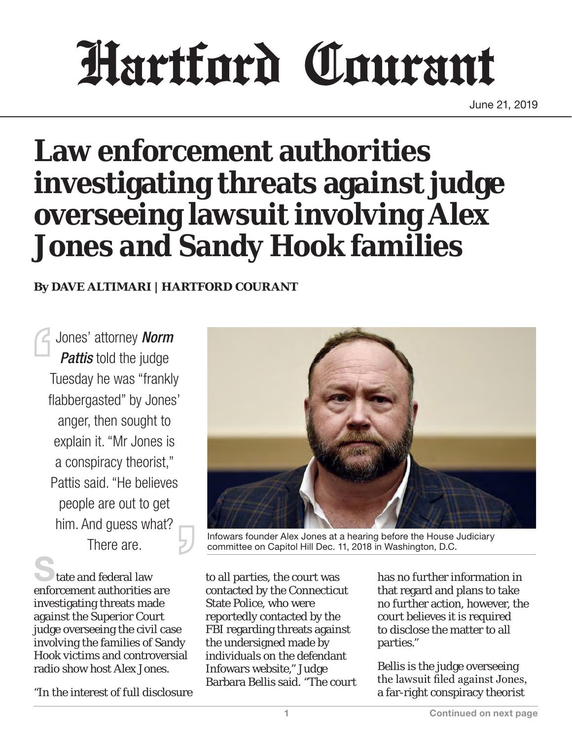# Hartford Courant

June 21, 2019

# **Law enforcement authorities investigating threats against judge overseeing lawsuit involving Alex Jones and Sandy Hook families**

#### **By DAVE ALTIMARI | HARTFORD COURANT**

Jones' attorney *Norm Pattis* told the judge Tuesday he was "frankly flabbergasted" by Jones' anger, then sought to explain it. "Mr Jones is a conspiracy theorist," Pattis said. "He believes people are out to get him. And guess what?

tate and federal law enforcement authorities are investigating threats made against the Superior Court judge overseeing the civil case involving the families of Sandy Hook victims and controversial radio show host Alex Jones.

"In the interest of full disclosure



There are. **Infowars founder Alex Jones at a hearing before the House Judiciary**<br>There are. **In the Committee on Capitol Hill Dec. 11, 2018 in Washington, D.C.** committee on Capitol Hill Dec. 11, 2018 in Washington, D.C.

to all parties, the court was contacted by the Connecticut State Police, who were reportedly contacted by the FBI regarding threats against the undersigned made by individuals on the defendant Infowars website," Judge Barbara Bellis said. "The court has no further information in that regard and plans to take no further action, however, the court believes it is required to disclose the matter to all parties."

Bellis is the judge overseeing the lawsuit filed against Jones, a far-right conspiracy theorist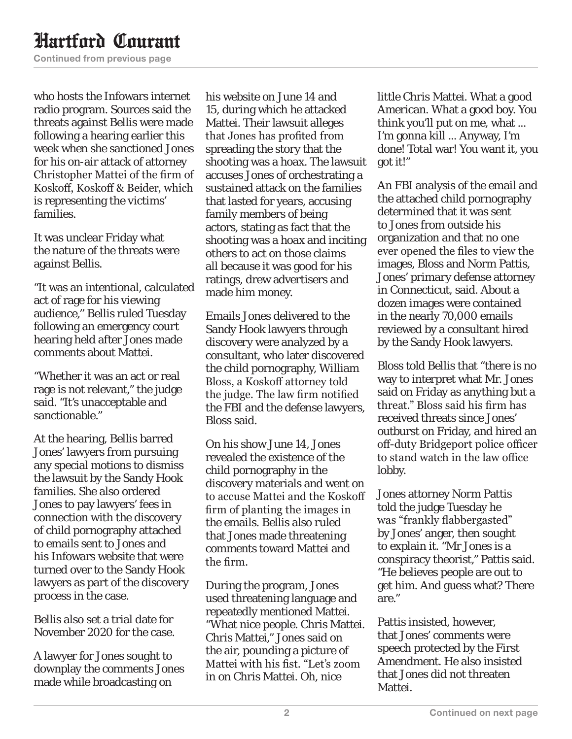## Hartford Courant

Continued from previous page

who hosts the Infowars internet radio program. Sources said the threats against Bellis were made following a hearing earlier this week when she sanctioned Jones for his on-air attack of attorney Christopher Mattei of the firm of Koskoff, Koskoff & Beider, which is representing the victims' families.

It was unclear Friday what the nature of the threats were against Bellis.

"It was an intentional, calculated act of rage for his viewing audience,'' Bellis ruled Tuesday following an emergency court hearing held after Jones made comments about Mattei.

"Whether it was an act or real rage is not relevant," the judge said. "It's unacceptable and sanctionable."

At the hearing, Bellis barred Jones' lawyers from pursuing any special motions to dismiss the lawsuit by the Sandy Hook families. She also ordered Jones to pay lawyers' fees in connection with the discovery of child pornography attached to emails sent to Jones and his Infowars website that were turned over to the Sandy Hook lawyers as part of the discovery process in the case.

Bellis also set a trial date for November 2020 for the case.

A lawyer for Jones sought to downplay the comments Jones made while broadcasting on

his website on June 14 and 15, during which he attacked Mattei. Their lawsuit alleges that Jones has profited from spreading the story that the shooting was a hoax. The lawsuit accuses Jones of orchestrating a sustained attack on the families that lasted for years, accusing family members of being actors, stating as fact that the shooting was a hoax and inciting others to act on those claims all because it was good for his ratings, drew advertisers and made him money.

Emails Jones delivered to the Sandy Hook lawyers through discovery were analyzed by a consultant, who later discovered the child pornography, William Bloss, a Koskoff attorney told the judge. The law firm notified the FBI and the defense lawyers, Bloss said.

On his show June 14, Jones revealed the existence of the child pornography in the discovery materials and went on to accuse Mattei and the Koskoff firm of planting the images in the emails. Bellis also ruled that Jones made threatening comments toward Mattei and the firm.

During the program, Jones used threatening language and repeatedly mentioned Mattei. "What nice people. Chris Mattei. Chris Mattei," Jones said on the air, pounding a picture of Mattei with his fist. "Let's zoom in on Chris Mattei. Oh, nice

little Chris Mattei. What a good American. What a good boy. You think you'll put on me, what ... I'm gonna kill ... Anyway, I'm done! Total war! You want it, you got it!"

An FBI analysis of the email and the attached child pornography determined that it was sent to Jones from outside his organization and that no one ever opened the files to view the images, Bloss and Norm Pattis, Jones' primary defense attorney in Connecticut, said. About a dozen images were contained in the nearly 70,000 emails reviewed by a consultant hired by the Sandy Hook lawyers.

Bloss told Bellis that "there is no way to interpret what Mr. Jones said on Friday as anything but a threat." Bloss said his firm has received threats since Jones' outburst on Friday, and hired an off-duty Bridgeport police officer to stand watch in the law office lobby.

Jones attorney Norm Pattis told the judge Tuesday he was "frankly flabbergasted" by Jones' anger, then sought to explain it. "Mr Jones is a conspiracy theorist," Pattis said. "He believes people are out to get him. And guess what? There are."

Pattis insisted, however, that Jones' comments were speech protected by the First Amendment. He also insisted that Jones did not threaten Mattei.